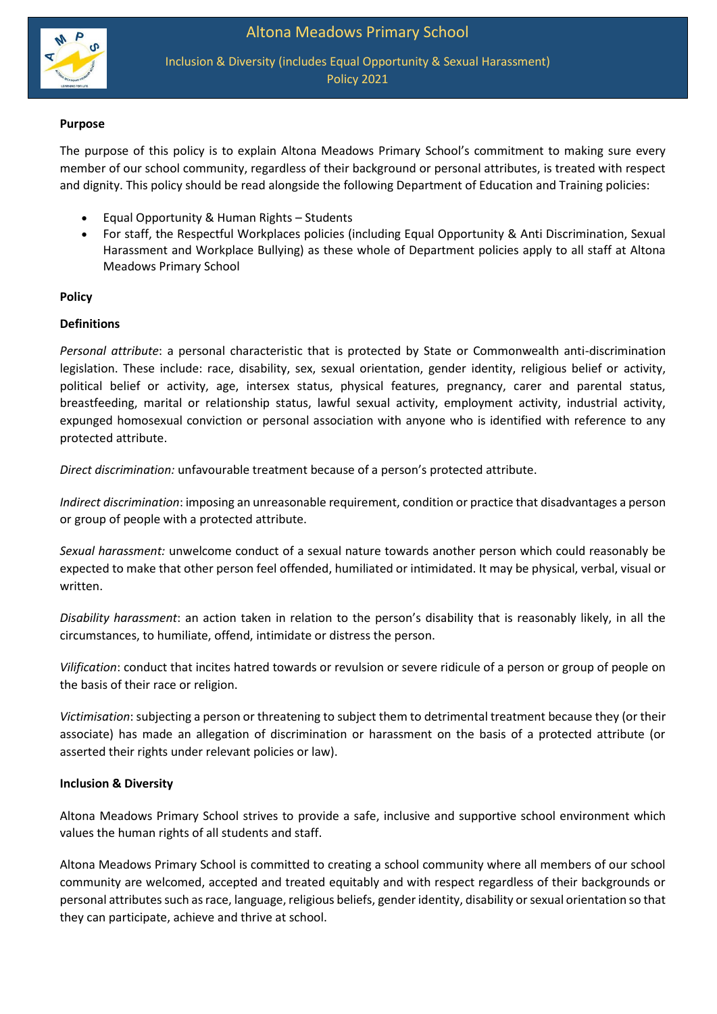

Inclusion & Diversity (includes Equal Opportunity & Sexual Harassment) Policy 2021

## **Purpose**

The purpose of this policy is to explain Altona Meadows Primary School's commitment to making sure every member of our school community, regardless of their background or personal attributes, is treated with respect and dignity. This policy should be read alongside the following Department of Education and Training policies:

- Equal Opportunity & Human Rights Students
- For staff, the Respectful Workplaces policies (including Equal Opportunity & Anti Discrimination, Sexual Harassment and Workplace Bullying) as these whole of Department policies apply to all staff at Altona Meadows Primary School

## **Policy**

## **Definitions**

*Personal attribute*: a personal characteristic that is protected by State or Commonwealth anti-discrimination legislation. These include: race, disability, sex, sexual orientation, gender identity, religious belief or activity, political belief or activity, age, intersex status, physical features, pregnancy, carer and parental status, breastfeeding, marital or relationship status, lawful sexual activity, employment activity, industrial activity, expunged homosexual conviction or personal association with anyone who is identified with reference to any protected attribute.

*Direct discrimination:* unfavourable treatment because of a person's protected attribute.

*Indirect discrimination*: imposing an unreasonable requirement, condition or practice that disadvantages a person or group of people with a protected attribute.

*Sexual harassment:* unwelcome conduct of a sexual nature towards another person which could reasonably be expected to make that other person feel offended, humiliated or intimidated. It may be physical, verbal, visual or written.

*Disability harassment*: an action taken in relation to the person's disability that is reasonably likely, in all the circumstances, to humiliate, offend, intimidate or distress the person.

*Vilification*: conduct that incites hatred towards or revulsion or severe ridicule of a person or group of people on the basis of their race or religion.

*Victimisation*: subjecting a person or threatening to subject them to detrimental treatment because they (or their associate) has made an allegation of discrimination or harassment on the basis of a protected attribute (or asserted their rights under relevant policies or law).

## **Inclusion & Diversity**

Altona Meadows Primary School strives to provide a safe, inclusive and supportive school environment which values the human rights of all students and staff.

Altona Meadows Primary School is committed to creating a school community where all members of our school community are welcomed, accepted and treated equitably and with respect regardless of their backgrounds or personal attributes such as race, language, religious beliefs, gender identity, disability or sexual orientation so that they can participate, achieve and thrive at school.